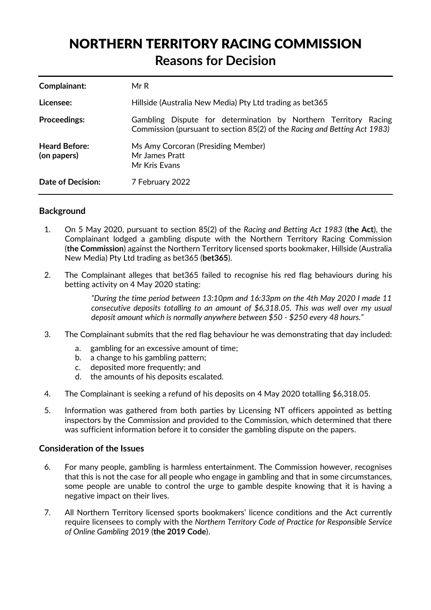# NORTHERN TERRITORY RACING COMMISSION **Reasons for Decision**

| Complainant:                        | MrR                                                                                                                                             |  |  |  |  |  |  |  |
|-------------------------------------|-------------------------------------------------------------------------------------------------------------------------------------------------|--|--|--|--|--|--|--|
| Licensee:                           | Hillside (Australia New Media) Pty Ltd trading as bet 365                                                                                       |  |  |  |  |  |  |  |
| <b>Proceedings:</b>                 | Dispute for determination by Northern Territory Racing<br>Gambling<br>Commission (pursuant to section 85(2) of the Racing and Betting Act 1983) |  |  |  |  |  |  |  |
| <b>Heard Before:</b><br>(on papers) | Ms Amy Corcoran (Presiding Member)<br>Mr James Pratt<br>Mr Kris Evans                                                                           |  |  |  |  |  |  |  |
| <b>Date of Decision:</b>            | 7 February 2022                                                                                                                                 |  |  |  |  |  |  |  |

# **Background**

- 1. On 5 May 2020, pursuant to section 85(2) of the *Racing and Betting Act 1983* (**the Act**), the Complainant lodged a gambling dispute with the Northern Territory Racing Commission (**the Commission**) against the Northern Territory licensed sports bookmaker, Hillside (Australia New Media) Pty Ltd trading as bet365 (**bet365**).
- 2. The Complainant alleges that bet365 failed to recognise his red flag behaviours during his betting activity on 4 May 2020 stating:

*"During the time period between 13:10pm and 16:33pm on the 4th May 2020 I made 11 consecutive deposits totalling to an amount of \$6,318.05. This was well over my usual deposit amount which is normally anywhere between \$50 - \$250 every 48 hours."* 

- 3. The Complainant submits that the red flag behaviour he was demonstrating that day included:
	- a. gambling for an excessive amount of time;
	- b. a change to his gambling pattern;
	- c. deposited more frequently; and
	- d. the amounts of his deposits escalated.
- 4. The Complainant is seeking a refund of his deposits on 4 May 2020 totalling \$6,318.05.
- 5. Information was gathered from both parties by Licensing NT officers appointed as betting inspectors by the Commission and provided to the Commission, which determined that there was sufficient information before it to consider the gambling dispute on the papers.

# **Consideration of the Issues**

- 6. For many people, gambling is harmless entertainment. The Commission however, recognises that this is not the case for all people who engage in gambling and that in some circumstances, some people are unable to control the urge to gamble despite knowing that it is having a negative impact on their lives.
- 7. All Northern Territory licensed sports bookmakers' licence conditions and the Act currently require licensees to comply with the *Northern Territory Code of Practice for Responsible Service of Online Gambling* 2019 (**the 2019 Code**).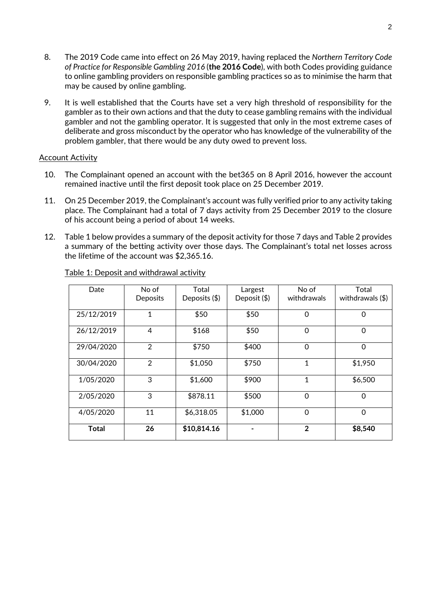- 8. The 2019 Code came into effect on 26 May 2019, having replaced the *Northern Territory Code of Practice for Responsible Gambling 2016* (**the 2016 Code**), with both Codes providing guidance to online gambling providers on responsible gambling practices so as to minimise the harm that may be caused by online gambling.
- 9. It is well established that the Courts have set a very high threshold of responsibility for the gambler as to their own actions and that the duty to cease gambling remains with the individual gambler and not the gambling operator. It is suggested that only in the most extreme cases of deliberate and gross misconduct by the operator who has knowledge of the vulnerability of the problem gambler, that there would be any duty owed to prevent loss.

## Account Activity

- 10. The Complainant opened an account with the bet365 on 8 April 2016, however the account remained inactive until the first deposit took place on 25 December 2019.
- 11. On 25 December 2019, the Complainant's account was fully verified prior to any activity taking place. The Complainant had a total of 7 days activity from 25 December 2019 to the closure of his account being a period of about 14 weeks.
- 12. Table 1 below provides a summary of the deposit activity for those 7 days and Table 2 provides a summary of the betting activity over those days. The Complainant's total net losses across the lifetime of the account was \$2,365.16.

| Date       | No of<br>Deposits | Total<br>Deposits $(\$)$ | Largest<br>Deposit (\$) | No of<br>withdrawals | Total<br>withdrawals $(\$)$ |
|------------|-------------------|--------------------------|-------------------------|----------------------|-----------------------------|
| 25/12/2019 | 1                 |                          | \$50                    | $\Omega$             | 0                           |
| 26/12/2019 | $\overline{4}$    | \$168                    | \$50                    | $\Omega$             | $\Omega$                    |
| 29/04/2020 | $\mathfrak{D}$    | \$750                    | \$400                   | $\Omega$             | $\Omega$                    |
| 30/04/2020 | $\overline{2}$    | \$1,050                  | \$750                   | 1                    | \$1,950                     |
| 1/05/2020  | 3                 | \$1,600                  | \$900                   | 1                    | \$6,500                     |
| 2/05/2020  | 3                 | \$878.11                 | \$500                   | $\Omega$             | $\Omega$                    |
| 4/05/2020  | 11                | \$6,318.05               | \$1,000                 | $\Omega$             | $\Omega$                    |
| Total      | 26                | \$10,814.16              |                         | $\overline{2}$       | \$8,540                     |

#### Table 1: Deposit and withdrawal activity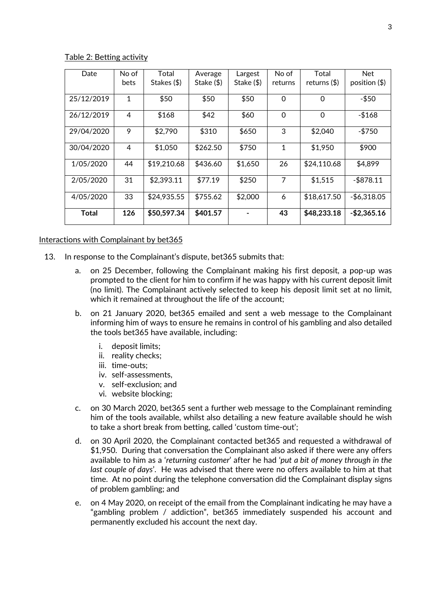Table 2: Betting activity

| Date       | No of<br>bets | Total<br>Stakes (\$) | Average<br>Stake $(\$)$ | Largest<br>Stake $($ \$) | No of<br>returns | Total<br>returns $(\$)$ | <b>Net</b><br>position $(\$)$ |
|------------|---------------|----------------------|-------------------------|--------------------------|------------------|-------------------------|-------------------------------|
| 25/12/2019 | 1             | \$50                 | \$50                    | \$50                     | 0                | $\Omega$                | $-$ \$50                      |
| 26/12/2019 | 4             | \$168                | \$42                    | \$60                     | $\mathbf 0$      | $\Omega$                | $-$ \$168                     |
| 29/04/2020 | 9             | \$2,790              | \$310                   | \$650                    | 3                | \$2,040                 | $-$ \$750                     |
| 30/04/2020 | 4             | \$1,050              | \$262.50                | \$750                    | $\mathbf 1$      | \$1,950                 | \$900                         |
| 1/05/2020  | 44            | \$19,210.68          | \$436.60                | \$1,650                  | 26               | \$24,110.68             | \$4,899                       |
| 2/05/2020  | 31            | \$2,393.11           | \$77.19                 | \$250                    | 7                | \$1,515                 | $-$ \$878.11                  |
| 4/05/2020  | 33            | \$24,935.55          | \$755.62                | \$2,000                  | 6                | \$18,617.50             | $-$ \$6,318.05                |
| Total      | 126           | \$50,597.34          | \$401.57                |                          | 43               | \$48,233.18             | $-$ \$2,365.16                |

Interactions with Complainant by bet365

- 13. In response to the Complainant's dispute, bet365 submits that:
	- a. on 25 December, following the Complainant making his first deposit, a pop-up was prompted to the client for him to confirm if he was happy with his current deposit limit (no limit). The Complainant actively selected to keep his deposit limit set at no limit, which it remained at throughout the life of the account;
	- b. on 21 January 2020, bet365 emailed and sent a web message to the Complainant informing him of ways to ensure he remains in control of his gambling and also detailed the tools bet365 have available, including:
		- i. deposit limits;
		- ii. reality checks;
		- iii. time-outs;
		- iv. self-assessments,
		- v. self-exclusion; and
		- vi. website blocking;
	- c. on 30 March 2020, bet365 sent a further web message to the Complainant reminding him of the tools available, whilst also detailing a new feature available should he wish to take a short break from betting, called 'custom time-out';
	- d. on 30 April 2020, the Complainant contacted bet365 and requested a withdrawal of \$1,950. During that conversation the Complainant also asked if there were any offers available to him as a '*returning customer*' after he had '*put a bit of money through in the last couple of days*'. He was advised that there were no offers available to him at that time. At no point during the telephone conversation did the Complainant display signs of problem gambling; and
	- e. on 4 May 2020, on receipt of the email from the Complainant indicating he may have a "gambling problem / addiction", bet365 immediately suspended his account and permanently excluded his account the next day.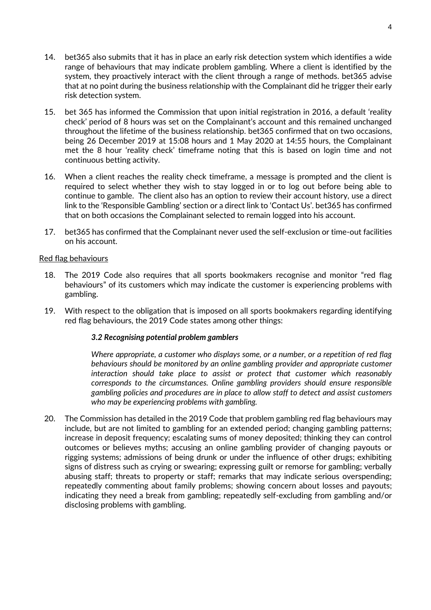- 14. bet365 also submits that it has in place an early risk detection system which identifies a wide range of behaviours that may indicate problem gambling. Where a client is identified by the system, they proactively interact with the client through a range of methods. bet365 advise that at no point during the business relationship with the Complainant did he trigger their early risk detection system.
- 15. bet 365 has informed the Commission that upon initial registration in 2016, a default 'reality check' period of 8 hours was set on the Complainant's account and this remained unchanged throughout the lifetime of the business relationship. bet365 confirmed that on two occasions, being 26 December 2019 at 15:08 hours and 1 May 2020 at 14:55 hours, the Complainant met the 8 hour 'reality check' timeframe noting that this is based on login time and not continuous betting activity.
- 16. When a client reaches the reality check timeframe, a message is prompted and the client is required to select whether they wish to stay logged in or to log out before being able to continue to gamble. The client also has an option to review their account history, use a direct link to the 'Responsible Gambling' section or a direct link to 'Contact Us'. bet365 has confirmed that on both occasions the Complainant selected to remain logged into his account.
- 17. bet365 has confirmed that the Complainant never used the self-exclusion or time-out facilities on his account.

## Red flag behaviours

- 18. The 2019 Code also requires that all sports bookmakers recognise and monitor "red flag behaviours" of its customers which may indicate the customer is experiencing problems with gambling.
- 19. With respect to the obligation that is imposed on all sports bookmakers regarding identifying red flag behaviours, the 2019 Code states among other things:

#### *3.2 Recognising potential problem gamblers*

*Where appropriate, a customer who displays some, or a number, or a repetition of red flag behaviours should be monitored by an online gambling provider and appropriate customer interaction should take place to assist or protect that customer which reasonably corresponds to the circumstances. Online gambling providers should ensure responsible gambling policies and procedures are in place to allow staff to detect and assist customers who may be experiencing problems with gambling.*

20. The Commission has detailed in the 2019 Code that problem gambling red flag behaviours may include, but are not limited to gambling for an extended period; changing gambling patterns; increase in deposit frequency; escalating sums of money deposited; thinking they can control outcomes or believes myths; accusing an online gambling provider of changing payouts or rigging systems; admissions of being drunk or under the influence of other drugs; exhibiting signs of distress such as crying or swearing; expressing guilt or remorse for gambling; verbally abusing staff; threats to property or staff; remarks that may indicate serious overspending; repeatedly commenting about family problems; showing concern about losses and payouts; indicating they need a break from gambling; repeatedly self-excluding from gambling and/or disclosing problems with gambling.